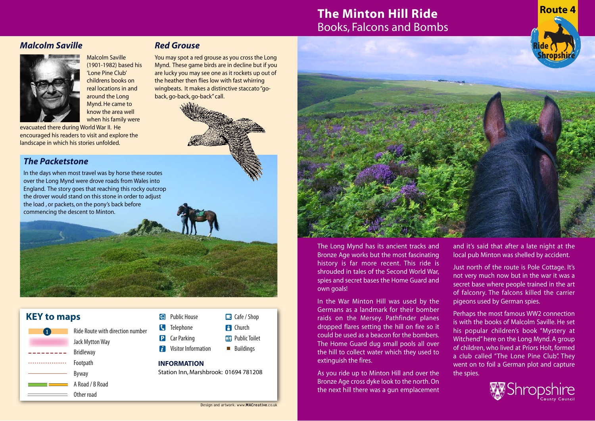# **The Minton Hill Ride** Books, Falcons and Bombs

## *Malcolm Saville*



Malcolm Saville (1901-1982) based his 'Lone Pine Club' childrens books on real locations in and around the Long Mynd. He came to know the area well when his family were

evacuated there during World War II. He encouraged his readers to visit and explore the landscape in which his stories unfolded.

## *Red Grouse*

**K** Telephone **P** Car Parking **F** Visitor Information

**INFORMATION**

You may spot a red grouse as you cross the Long Mynd. These game birds are in decline but if you are lucky you may see one as it rockets up out of the heather then flies low with fast whirring wingbeats. It makes a distinctive staccato "goback, go-back, go-back" call.

## *The Packetstone*

In the days when most travel was by horse these routes over the Long Mynd were drove roads from Wales into England. The story goes that reaching this rocky outcrop the drover would stand on this stone in order to adjust the load , or packets, on the pony's back before commencing the descent to Minton.

Ride Route with direction number

KEY to maps **EXAMPLE 2018** Public House

Jack Mytton Way Bridleway Footpath Byway A Road / B Road Other road

**..................** 

### The Long Mynd has its ancient tracks and Bronze Age works but the most fascinating history is far more recent. This ride is shrouded in tales of the Second World War, spies and secret bases the Home Guard and own goals!

In the War Minton Hill was used by the Germans as a landmark for their bomber raids on the Mersey. Pathfinder planes dropped flares setting the hill on fire so it could be used as a beacon for the bombers. The Home Guard dug small pools all over the hill to collect water which they used to extinguish the fires.

As you ride up to Minton Hill and over the Bronze Age cross dyke look to the north. On the next hill there was a gun emplacement

and it's said that after a late night at the local pub Minton was shelled by accident.

**Route 4**

**Shropshire**

**Ride**

Just north of the route is Pole Cottage. It's not very much now but in the war it was a secret base where people trained in the art of falconry. The falcons killed the carrier pigeons used by German spies.

Perhaps the most famous WW2 connection is with the books of Malcolm Saville. He set his popular children's book "Mystery at Witchend" here on the Long Mynd. A group of children, who lived at Priors Holt, formed a club called "The Lone Pine Club". They went on to foil a German plot and capture the spies.



Station Inn, Marshbrook: 01694 781208

Cafe / Shop **F1** Church **An** Public Toilet **Buildings**